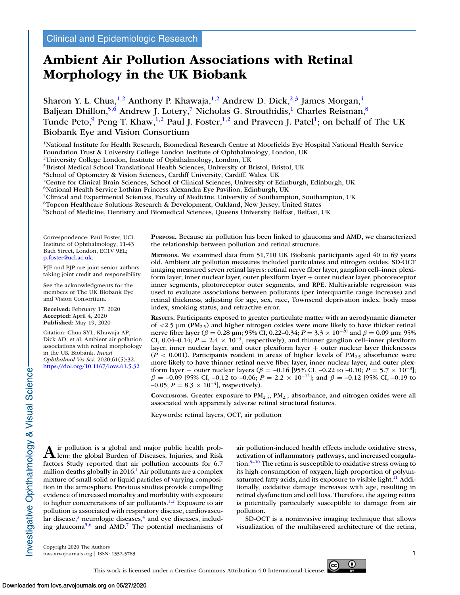# **Ambient Air Pollution Associations with Retinal Morphology in the UK Biobank**

Sharon Y. L. Chua,<sup>1,2</sup> Anthony P. Khawaja,<sup>1,2</sup> Andrew D. Dick,<sup>2,3</sup> James Morgan,<sup>4</sup> Baljean Dhillon,<sup>5,6</sup> Andrew J. Lotery,<sup>7</sup> Nicholas G. Strouthidis,<sup>1</sup> Charles Reisman,<sup>8</sup> Tunde Peto,<sup>9</sup> Peng T. Khaw,<sup>1,2</sup> Paul J. Foster,<sup>1,2</sup> and Praveen J. Patel<sup>1</sup>; on behalf of The UK Biobank Eye and Vision Consortium

<sup>1</sup>National Institute for Health Research, Biomedical Research Centre at Moorfields Eye Hospital National Health Service Foundation Trust & University College London Institute of Ophthalmology, London, UK

2University College London, Institute of Ophthalmology, London, UK

<sup>3</sup>Bristol Medical School Translational Health Sciences, University of Bristol, Bristol, UK

<sup>4</sup>School of Optometry & Vision Sciences, Cardiff University, Cardiff, Wales, UK

<sup>5</sup>Centre for Clinical Brain Sciences, School of Clinical Sciences, University of Edinburgh, Edinburgh, UK

<sup>6</sup>National Health Service Lothian Princess Alexandra Eye Pavilion, Edinburgh, UK

7Clinical and Experimental Sciences, Faculty of Medicine, University of Southampton, Southampton, UK

8Topcon Healthcare Solutions Research & Development, Oakland, New Jersey, United States

9School of Medicine, Dentistry and Biomedical Sciences, Queens University Belfast, Belfast, UK

Correspondence: Paul Foster, UCL Institute of Ophthalmology, 11-43 Bath Street, London, EC1V 9EL; [p.foster@ucl.ac.uk.](mailto:p.foster@ucl.ac.uk)

PJF and PJP are joint senior authors taking joint credit and responsibility.

See the acknowledgments for the members of The UK Biobank Eye and Vision Consortium.

**Received:** February 17, 2020 **Accepted:** April 4, 2020 **Published:** May 19, 2020

Citation: Chua SYL, Khawaja AP, Dick AD, et al. Ambient air pollution associations with retinal morphology in the UK Biobank. *Invest Ophthalmol Vis Sci.* 2020;61(5):32. <https://doi.org/10.1167/iovs.61.5.32>

**PURPOSE.** Because air pollution has been linked to glaucoma and AMD, we characterized the relationship between pollution and retinal structure.

**METHODS.** We examined data from 51,710 UK Biobank participants aged 40 to 69 years old. Ambient air pollution measures included particulates and nitrogen oxides. SD-OCT imaging measured seven retinal layers: retinal nerve fiber layer, ganglion cell–inner plexiform layer, inner nuclear layer, outer plexiform layer + outer nuclear layer, photoreceptor inner segments, photoreceptor outer segments, and RPE. Multivariable regression was used to evaluate associations between pollutants (per interquartile range increase) and retinal thickness, adjusting for age, sex, race, Townsend deprivation index, body mass index, smoking status, and refractive error.

**RESULTS.** Participants exposed to greater particulate matter with an aerodynamic diameter of  $\lt 2.5$  μm (PM<sub>2.5</sub>) and higher nitrogen oxides were more likely to have thicker retinal nerve fiber layer ( $\beta = 0.28$  μm; 95% CI, 0.22–0.34;  $P = 3.3 \times 10^{-20}$  and  $\beta = 0.09$  μm; 95% CI, 0.04–0.14;  $P = 2.4 \times 10^{-4}$ , respectively), and thinner ganglion cell–inner plexiform layer, inner nuclear layer, and outer plexiform layer + outer nuclear layer thicknesses  $(P < 0.001)$ . Participants resident in areas of higher levels of PM<sub>2.5</sub> absorbance were more likely to have thinner retinal nerve fiber layer, inner nuclear layer, and outer plexiform layer + outer nuclear layers (β = –0.16 [95% CI, –0.22 to –0.10; *P* = 5.7 × 10<sup>-8</sup>];  $\beta = -0.09$  [95% CI, –0.12 to –0.06;  $P = 2.2 \times 10^{-12}$ ]; and  $\beta = -0.12$  [95% CI, –0.19 to  $-0.05; P = 8.3 \times 10^{-4}$ ], respectively).

**CONCLUSIONS.** Greater exposure to  $PM_{2.5}$ ,  $PM_{2.5}$  absorbance, and nitrogen oxides were all associated with apparently adverse retinal structural features.

Keywords: retinal layers, OCT, air pollution

A ir pollution is a global and major public health prob-<br>Lem: the global Burden of Diseases, Injuries, and Risk factors Study reported that air pollution accounts for 6.7 million deaths globally in  $2016<sup>1</sup>$  Air pollutants are a complex mixture of small solid or liquid particles of varying composition in the atmosphere. Previous studies provide compelling evidence of increased mortality and morbidity with exposure to higher concentrations of air pollutants.<sup>1,2</sup> Exposure to air pollution is associated with respiratory disease, cardiovascular disease, $3$  neurologic diseases, $4$  and eye diseases, including glaucoma<sup>5,6</sup> and AMD.<sup>7</sup> The potential mechanisms of

air pollution-induced health effects include oxidative stress, activation of inflammatory pathways, and increased coagulation. $8-10$  The retina is susceptible to oxidative stress owing to its high consumption of oxygen, high proportion of polyunsaturated fatty acids, and its exposure to visible light.<sup>11</sup> Additionally, oxidative damage increases with age, resulting in retinal dysfunction and cell loss. Therefore, the ageing retina is potentially particularly susceptible to damage from air pollution.

SD-OCT is a noninvasive imaging technique that allows visualization of the multilayered architecture of the retina,

Copyright 2020 The Authors iovs.arvojournals.org | ISSN: 1552-5783 1

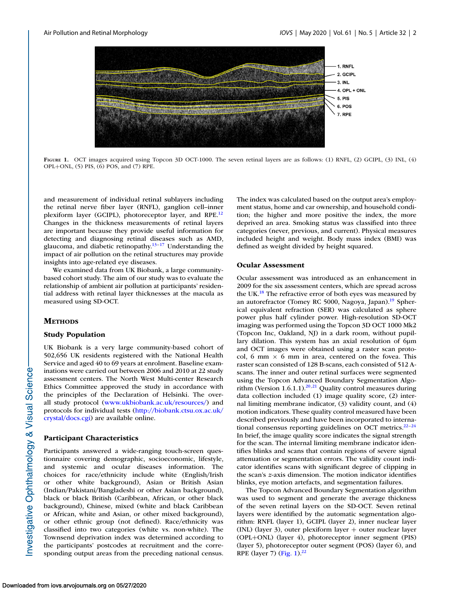

FIGURE 1. OCT images acquired using Topcon 3D OCT-1000. The seven retinal layers are as follows: (1) RNFL, (2) GCIPL, (3) INL, (4) OPL+ONL, (5) PIS, (6) POS, and (7) RPE.

and measurement of individual retinal sublayers including the retinal nerve fiber layer (RNFL), ganglion cell–inner plexiform layer (GCIPL), photoreceptor layer, and RPE[.12](#page-8-0) Changes in the thickness measurements of retinal layers are important because they provide useful information for detecting and diagnosing retinal diseases such as AMD, glaucoma, and diabetic retinopathy. $13-17$  Understanding the impact of air pollution on the retinal structures may provide insights into age-related eye diseases.

We examined data from UK Biobank, a large communitybased cohort study. The aim of our study was to evaluate the relationship of ambient air pollution at participants' residential address with retinal layer thicknesses at the macula as measured using SD-OCT.

### **METHODS**

### **Study Population**

UK Biobank is a very large community-based cohort of 502,656 UK residents registered with the National Health Service and aged 40 to 69 years at enrolment. Baseline examinations were carried out between 2006 and 2010 at 22 study assessment centers. The North West Multi-center Research Ethics Committee approved the study in accordance with the principles of the Declaration of Helsinki. The overall study protocol [\(www.ukbiobank.ac.uk/resources/\)](http://www.ukbiobank.ac.uk/resources/) and [protocols for individual tests \(http://biobank.ctsu.ox.ac.uk/](http://biobank.ctsu.ox.ac.uk/crystal/docs.cgi) crystal/docs.cgi) are available online.

# **Participant Characteristics**

Participants answered a wide-ranging touch-screen questionnaire covering demographic, socioeconomic, lifestyle, and systemic and ocular diseases information. The choices for race/ethnicity include white (English/Irish or other white background), Asian or British Asian (Indian/Pakistani/Bangladeshi or other Asian background), black or black British (Caribbean, African, or other black background), Chinese, mixed (white and black Caribbean or African, white and Asian, or other mixed background), or other ethnic group (not defined). Race/ethnicity was classified into two categories (white vs. non-white). The Townsend deprivation index was determined according to the participants' postcodes at recruitment and the corresponding output areas from the preceding national census. The index was calculated based on the output area's employment status, home and car ownership, and household condition; the higher and more positive the index, the more deprived an area. Smoking status was classified into three categories (never, previous, and current). Physical measures included height and weight. Body mass index (BMI) was defined as weight divided by height squared.

### **Ocular Assessment**

Ocular assessment was introduced as an enhancement in 2009 for the six assessment centers, which are spread across the UK.<sup>18</sup> The refractive error of both eyes was measured by an autorefractor (Tomey RC 5000, Nagoya, Japan).<sup>19</sup> Spherical equivalent refraction (SER) was calculated as sphere power plus half cylinder power. High-resolution SD-OCT imaging was performed using the Topcon 3D OCT 1000 Mk2 (Topcon Inc, Oakland, NJ) in a dark room, without pupillary dilation. This system has an axial resolution of 6μm and OCT images were obtained using a raster scan protocol, 6 mm  $\times$  6 mm in area, centered on the fovea. This raster scan consisted of 128 B-scans, each consisted of 512 Ascans. The inner and outer retinal surfaces were segmented using the Topcon Advanced Boundary Segmentation Algorithm (Version 1.6.1.1).<sup>20,21</sup> Quality control measures during data collection included (1) image quality score, (2) internal limiting membrane indicator, (3) validity count, and (4) motion indicators. These quality control measured have been described previously and have been incorporated to international consensus reporting guidelines on OCT metrics. $22-24$ In brief, the image quality score indicates the signal strength for the scan. The internal limiting membrane indicator identifies blinks and scans that contain regions of severe signal attenuation or segmentation errors. The validity count indicator identifies scans with significant degree of clipping in the scan's *z*-axis dimension. The motion indicator identifies blinks, eye motion artefacts, and segmentation failures.

The Topcon Advanced Boundary Segmentation algorithm was used to segment and generate the average thickness of the seven retinal layers on the SD-OCT. Seven retinal layers were identified by the automatic segmentation algorithm: RNFL (layer 1), GCIPL (layer 2), inner nuclear layer (INL) (layer 3), outer plexiform layer + outer nuclear layer (OPL+ONL) (layer 4), photoreceptor inner segment (PIS) (layer 5), photoreceptor outer segment (POS) (layer 6), and RPE (layer 7) (Fig.  $1$ ).<sup>22</sup>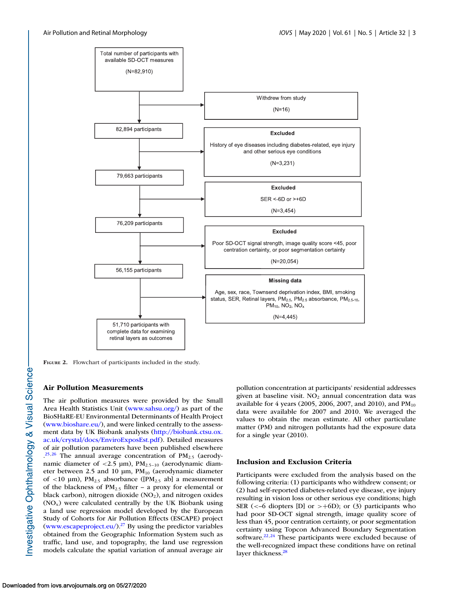<span id="page-2-0"></span>

**FIGURE 2.** Flowchart of participants included in the study.

# **Air Pollution Measurements**

The air pollution measures were provided by the Small Area Health Statistics Unit [\(www.sahsu.org/\)](http://www.sahsu.org/) as part of the BioSHaRE-EU Environmental Determinants of Health Project [\(www.bioshare.eu/\)](http://www.bioshare.eu/), and were linked centrally to the assessment data by UK Biobank analysts (http://biobank.ctsu.ox. [ac.uk/crystal/docs/EnviroExposEst.pdf\). Detailed measures](http://biobank.ctsu.ox.ac.uk/crystal/docs/EnviroExposEst.pdf) of air pollution parameters have been published elsewhere  $2^{5,26}$  The annual average concentration of PM<sub>2.5</sub> (aerodynamic diameter of <2.5  $\mu$ m), PM<sub>2.5-10</sub> (aerodynamic diameter between 2.5 and 10  $\mu$ m, PM<sub>10</sub> (aerodynamic diameter of <10 µm),  $PM_{2.5}$  absorbance ([PM<sub>2.5</sub> ab] a measurement of the blackness of  $PM<sub>2.5</sub>$  filter – a proxy for elemental or black carbon), nitrogen dioxide  $(NO<sub>2</sub>)$ , and nitrogen oxides  $(NO<sub>x</sub>)$  were calculated centrally by the UK Biobank using a land use regression model developed by the European Study of Cohorts for Air Pollution Effects (ESCAPE) project [\(www.escapeproject.eu/\)](http://www.escapeproject.eu/).<sup>27</sup> By using the predictor variables obtained from the Geographic Information System such as traffic, land use, and topography, the land use regression models calculate the spatial variation of annual average air pollution concentration at participants' residential addresses given at baseline visit.  $NO<sub>2</sub>$  annual concentration data was available for 4 years (2005, 2006, 2007, and 2010), and  $PM_{10}$ data were available for 2007 and 2010. We averaged the values to obtain the mean estimate. All other particulate matter (PM) and nitrogen pollutants had the exposure data for a single year (2010).

# **Inclusion and Exclusion Criteria**

Participants were excluded from the analysis based on the following criteria: (1) participants who withdrew consent; or (2) had self-reported diabetes-related eye disease, eye injury resulting in vision loss or other serious eye conditions; high SER ( $\leq$ -6 diopters [D] or  $\geq$ +6D); or (3) participants who had poor SD-OCT signal strength, image quality score of less than 45, poor centration certainty, or poor segmentation certainty using Topcon Advanced Boundary Segmentation software. $22,24$  These participants were excluded because of the well-recognized impact these conditions have on retinal layer thickness.<sup>28</sup>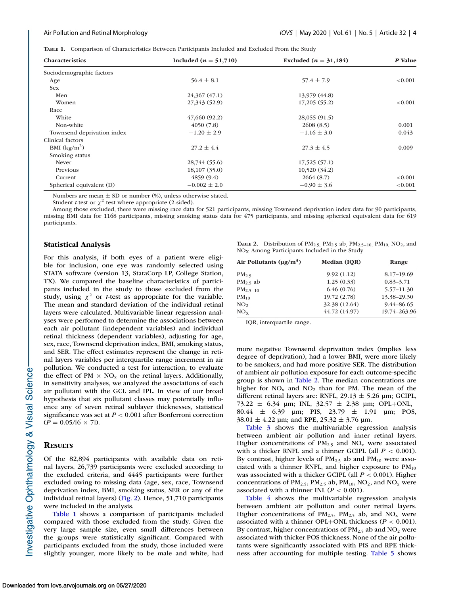<span id="page-3-0"></span>**TABLE 1.** Comparison of Characteristics Between Participants Included and Excluded From the Study

| <b>Characteristics</b>     | Included ( $n = 51,710$ ) | Excluded ( $n = 31,184$ ) | P Value    |
|----------------------------|---------------------------|---------------------------|------------|
| Sociodemographic factors   |                           |                           |            |
| Age                        | $56.4 \pm 8.1$            | $57.4 \pm 7.9$            | ${<}0.001$ |
| <b>Sex</b>                 |                           |                           |            |
| Men                        | 24,367(47.1)              | 13,979 (44.8)             |            |
| Women                      | 27,343 (52.9)             | 17,205(55.2)              | ${<}0.001$ |
| Race                       |                           |                           |            |
| White                      | 47,660(92.2)              | 28,055(91.5)              |            |
| Non-white                  | 4050(7.8)                 | 2608(8.5)                 | 0.001      |
| Townsend deprivation index | $-1.20 \pm 2.9$           | $-1.16 \pm 3.0$           | 0.043      |
| Clinical factors           |                           |                           |            |
| BMI $(kg/m2)$              | $27.2 \pm 4.4$            | $27.3 \pm 4.5$            | 0.009      |
| Smoking status             |                           |                           |            |
| Never                      | 28,744 (55.6)             | 17,525(57.1)              |            |
| Previous                   | 18,107(35.0)              | 10,520(34.2)              |            |
| Current                    | 4859(9.4)                 | 2664(8.7)                 | ${<}0.001$ |
| Spherical equivalent (D)   | $-0.002 \pm 2.0$          | $-0.90 \pm 3.6$           | < 0.001    |

Numbers are mean  $\pm$  SD or number (%), unless otherwise stated.

Student *t*-test or  $\chi^2$  test where appropriate (2-sided).

Among those excluded, there were missing race data for 521 participants, missing Townsend deprivation index data for 90 participants, missing BMI data for 1168 participants, missing smoking status data for 475 participants, and missing spherical equivalent data for 619 participants.

# **Statistical Analysis**

For this analysis, if both eyes of a patient were eligible for inclusion, one eye was randomly selected using STATA software (version 13, StataCorp LP, College Station, TX). We compared the baseline characteristics of participants included in the study to those excluded from the study, using  $\chi^2$  or *t*-test as appropriate for the variable. The mean and standard deviation of the individual retinal layers were calculated. Multivariable linear regression analyses were performed to determine the associations between each air pollutant (independent variables) and individual retinal thickness (dependent variables), adjusting for age, sex, race, Townsend deprivation index, BMI, smoking status, and SER. The effect estimates represent the change in retinal layers variables per interquartile range increment in air pollution. We conducted a test for interaction, to evaluate the effect of PM  $\times$  NO<sub>x</sub> on the retinal layers. Additionally, in sensitivity analyses, we analyzed the associations of each air pollutant with the GCL and IPL. In view of our broad hypothesis that six pollutant classes may potentially influence any of seven retinal sublayer thicknesses, statistical significance was set at *P* < 0.001 after Bonferroni correction  $(P = 0.05/[6 \times 7])$ .

### **RESULTS**

Of the 82,894 participants with available data on retinal layers, 26,739 participants were excluded according to the excluded criteria, and 4445 participants were further excluded owing to missing data (age, sex, race, Townsend deprivation index, BMI, smoking status, SER or any of the individual retinal layers) [\(Fig. 2\)](#page-2-0). Hence, 51,710 participants were included in the analysis.

Table 1 shows a comparison of participants included compared with those excluded from the study. Given the very large sample size, even small differences between the groups were statistically significant. Compared with participants excluded from the study, those included were slightly younger, more likely to be male and white, had

**TABLE 2.** Distribution of  $PM_{2.5}$ ,  $PM_{2.5}$  ab,  $PM_{2.5-10}$ ,  $PM_{10}$ ,  $NO_2$ , and NOX Among Participants Included in the Study

| Air Pollutants ( $\mu$ g/m <sup>3</sup> ) | Median (IQR)  | Range          |
|-------------------------------------------|---------------|----------------|
| $PM_{2.5}$                                | 9.92(1.12)    | $8.17 - 19.69$ |
| $PM_2 \le ab$                             | 1.25(0.33)    | $0.83 - 3.71$  |
| $PM_{2.5-10}$                             | 6.46(0.76)    | $5.57 - 11.30$ |
| $PM_{10}$                                 | 19.72 (2.78)  | 13.38-29.30    |
| NO <sub>2</sub>                           | 32.38 (12.64) | 9.44-86.65     |
| NO <sub>x</sub>                           | 44.72 (14.97) | 19.74-263.96   |

IQR, interquartile range.

more negative Townsend deprivation index (implies less degree of deprivation), had a lower BMI, were more likely to be smokers, and had more positive SER. The distribution of ambient air pollution exposure for each outcome-specific group is shown in Table 2. The median concentrations are higher for  $NO_x$  and  $NO_2$  than for PM. The mean of the different retinal layers are: RNFL,  $29.13 \pm 5.26$  µm; GCIPL, 73.22  $\pm$  6.34 μm; INL, 32.57  $\pm$  2.38 μm; OPL+ONL, 80.44 ± 6.39 μm; PIS, 23.79 ± 1.91 μm; POS,  $38.01 \pm 4.22$  μm; and RPE,  $25.32 \pm 3.76$  μm.

[Table 3](#page-4-0) shows the multivariable regression analysis between ambient air pollution and inner retinal layers. Higher concentrations of  $PM_{2.5}$  and  $NO_x$  were associated with a thicker RNFL and a thinner GCIPL (all *P* < 0.001). By contrast, higher levels of  $PM<sub>2.5</sub>$  ab and  $PM<sub>10</sub>$  were associated with a thinner RNFL, and higher exposure to  $PM_{10}$ was associated with a thicker GCIPL (all *P* < 0.001). Higher concentrations of  $PM_{2.5}$ ,  $PM_{2.5}$  ab,  $PM_{10}$ ,  $NO_2$ , and  $NO_x$  were associated with a thinner INL  $(P < 0.001)$ .

[Table 4](#page-5-0) shows the multivariable regression analysis between ambient air pollution and outer retinal layers. Higher concentrations of  $PM_{2.5}$ ,  $PM_{2.5}$  ab, and  $NO_x$  were associated with a thinner OPL+ONL thickness (*P* < 0.001). By contrast, higher concentrations of  $PM_{2.5}$  ab and  $NO_2$  were associated with thicker POS thickness. None of the air pollutants were significantly associated with PIS and RPE thickness after accounting for multiple testing. [Table 5](#page-6-0) shows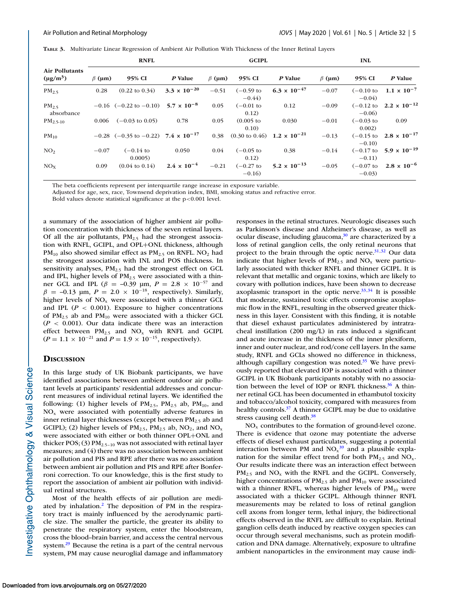<span id="page-4-0"></span>**TABLE 3.** Multivariate Linear Regression of Ambient Air Pollution With Thickness of the Inner Retinal Layers

|                                        |              | <b>RNFL</b>                                                |                       |              | <b>GCIPL</b>                                      |                                |              | <b>INL</b>              |                                          |
|----------------------------------------|--------------|------------------------------------------------------------|-----------------------|--------------|---------------------------------------------------|--------------------------------|--------------|-------------------------|------------------------------------------|
| <b>Air Pollutants</b><br>$(\mu g/m^3)$ | $\beta$ (um) | 95% CI                                                     | P Value               | $\beta$ (um) | 95% CI                                            | P Value                        | $\beta$ (um) | 95% CI                  | P Value                                  |
| PM <sub>25</sub>                       | 0.28         | $(0.22 \text{ to } 0.34)$                                  | $3.3 \times 10^{-20}$ | $-0.51$      | $(-0.59)$ to<br>$-0.44$                           | $6.3 \times 10^{-47}$          | $-0.07$      | $(-0.10)$ to<br>$-0.04$ | $1.1 \times 10^{-7}$                     |
| PM <sub>25</sub><br>absorbance         |              | $-0.16$ $(-0.22 \text{ to } -0.10)$ 5.7 x 10 <sup>-8</sup> |                       | 0.05         | $(-0.01)$ to<br>0.12)                             | 0.12                           | $-0.09$      | $-0.06$                 | $(-0.12 \text{ to } 2.2 \times 10^{-12}$ |
| $PM_{2.5-10}$                          |              | $0.006$ $(-0.03 \text{ to } 0.05)$                         | 0.78                  | 0.05         | $(0.005)$ to<br>0.10)                             | 0.030                          | $-0.01$      | $(-0.03)$ to<br>0.002)  | 0.09                                     |
| $PM_{10}$                              |              | $-0.28$ (-0.35 to -0.22) 7.4 x 10 <sup>-17</sup>           |                       | 0.38         | $(0.30 \text{ to } 0.46)$ 1.2 x 10 <sup>-21</sup> |                                | $-0.13$      | $-0.10$                 | $(-0.15 \text{ to } 2.8 \times 10^{-17}$ |
| NO <sub>2</sub>                        | $-0.07$      | $(-0.14)$ to<br>0.0005                                     | 0.050                 | 0.04         | $(-0.05)$ to<br>0.12)                             | 0.38                           | $-0.14$      | $-0.11$                 | $(-0.17 \text{ to } 5.9 \times 10^{-19}$ |
| NO <sub>X</sub>                        | 0.09         | $(0.04 \text{ to } 0.14)$                                  | $2.4 \times 10^{-4}$  | $-0.21$      | $(-0.27)$ to<br>$-0.16$                           | 5.2 $\times$ 10 <sup>-13</sup> | $-0.05$      | $(-0.07)$ to<br>$-0.03$ | $2.8 \times 10^{-6}$                     |

The beta coefficients represent per interquartile range increase in exposure variable.

Adjusted for age, sex, race, Townsend deprivation index, BMI, smoking status and refractive error.

Bold values denote statistical significance at the  $p<0.001$  level.

a summary of the association of higher ambient air pollution concentration with thickness of the seven retinal layers. Of all the air pollutants,  $PM<sub>2.5</sub>$  had the strongest association with RNFL, GCIPL, and OPL+ONL thickness, although  $PM_{10}$  also showed similar effect as  $PM_{2.5}$  on RNFL. NO<sub>2</sub> had the strongest association with INL and POS thickness. In sensitivity analyses,  $PM<sub>2.5</sub>$  had the strongest effect on GCL and IPL, higher levels of  $PM_{2.5}$  were associated with a thinner GCL and IPL ( $\beta$  = -0.39 µm,  $P = 2.8 \times 10^{-57}$  and  $\beta$  = -0.13 µm, *P* = 2.0 × 10<sup>-18</sup>, respectively). Similarly, higher levels of  $NO<sub>x</sub>$  were associated with a thinner GCL and IPL  $(P < 0.001)$ . Exposure to higher concentrations of PM2.5 ab and PM10 were associated with a thicker GCL  $(P < 0.001)$ . Our data indicate there was an interaction effect between  $PM_{2.5}$  and  $NO_x$  with RNFL and GCIPL  $(P = 1.1 \times 10^{-21}$  and  $P = 1.9 \times 10^{-15}$ , respectively).

# **DISCUSSION**

In this large study of UK Biobank participants, we have identified associations between ambient outdoor air pollutant levels at participants' residential addresses and concurrent measures of individual retinal layers. We identified the following: (1) higher levels of  $PM_{2.5}$ ,  $PM_{2.5}$  ab,  $PM_{10}$ , and  $NO<sub>x</sub>$  were associated with potentially adverse features in inner retinal layer thicknesses (except between  $PM_{2.5}$  ab and GCIPL); (2) higher levels of  $PM_{2.5}$ ,  $PM_{2.5}$  ab,  $NO_2$ , and  $NO_x$ were associated with either or both thinner OPL+ONL and thicker POS; (3)  $PM_{2,5-10}$  was not associated with retinal layer measures; and (4) there was no association between ambient air pollution and PIS and RPE after there was no association between ambient air pollution and PIS and RPE after Bonferroni correction. To our knowledge, this is the first study to report the association of ambient air pollution with individual retinal structures.

Most of the health effects of air pollution are mediated by inhalation.<sup>2</sup> The deposition of PM in the respiratory tract is mainly influenced by the aerodynamic particle size. The smaller the particle, the greater its ability to penetrate the respiratory system, enter the bloodstream, cross the blood–brain barrier, and access the central nervous system.<sup>29</sup> Because the retina is a part of the central nervous system, PM may cause neuroglial damage and inflammatory

responses in the retinal structures. Neurologic diseases such as Parkinson's disease and Alzheimer's disease, as well as ocular disease, including glaucoma, $30$  are characterized by a loss of retinal ganglion cells, the only retinal neurons that project to the brain through the optic nerve. $31,32$  Our data indicate that higher levels of  $PM_{2.5}$  and  $NO_x$  were particularly associated with thicker RNFL and thinner GCIPL. It is relevant that metallic and organic toxins, which are likely to covary with pollution indices, have been shown to decrease axoplasmic transport in the optic nerve.<sup>33,34</sup> It is possible that moderate, sustained toxic effects compromise axoplasmic flow in the RNFL, resulting in the observed greater thickness in this layer. Consistent with this finding, it is notable that diesel exhaust particulates administered by intratracheal instillation (200 mg/L) in rats induced a significant and acute increase in the thickness of the inner plexiform, inner and outer nuclear, and rod/cone cell layers. In the same study, RNFL and GCLs showed no difference in thickness, although capillary congestion was noted. $35$  We have previously reported that elevated IOP is associated with a thinner GCIPL in UK Biobank participants notably with no association between the level of IOP or RNFL thickness. $36$  A thinner retinal GCL has been documented in ethambutol toxicity and tobacco/alcohol toxicity, compared with measures from healthy controls. $37$  A thinner GCIPL may be due to oxidative stress causing cell death.<sup>38</sup>

 $NO<sub>x</sub>$  contributes to the formation of ground-level ozone. There is evidence that ozone may potentiate the adverse effects of diesel exhaust particulates, suggesting a potential interaction between PM and  $NO<sub>x</sub><sup>39</sup>$  $NO<sub>x</sub><sup>39</sup>$  $NO<sub>x</sub><sup>39</sup>$  and a plausible explanation for the similar effect trend for both  $PM_{2.5}$  and  $NO_x$ . Our results indicate there was an interaction effect between  $PM_{2.5}$  and  $NO_x$  with the RNFL and the GCIPL. Conversely, higher concentrations of  $PM_{2.5}$  ab and  $PM_{10}$  were associated with a thinner RNFL, whereas higher levels of  $PM_{10}$  were associated with a thicker GCIPL. Although thinner RNFL measurements may be related to loss of retinal ganglion cell axons from longer term, lethal injury, the bidirectional effects observed in the RNFL are difficult to explain. Retinal ganglion cells death induced by reactive oxygen species can occur through several mechanisms, such as protein modification and DNA damage. Alternatively, exposure to ultrafine ambient nanoparticles in the environment may cause indi-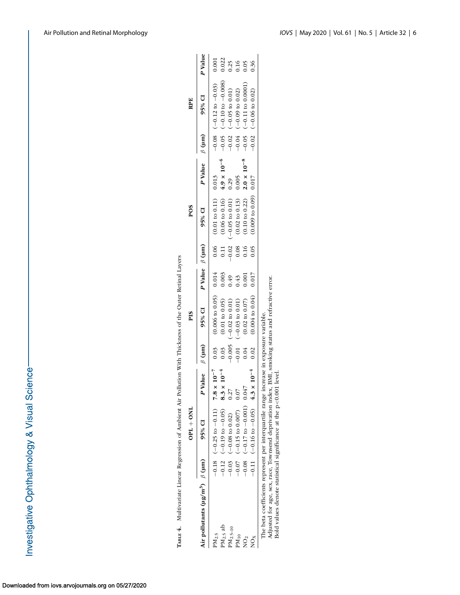|                                                   |         | $OPL + ONL$                         |                                |                                                   | PIS                                                                                                                  |                         |                                                                     | P <sub>OS</sub>                                                                                                                   |                                    | <b>RPE</b>                                                                                                                                                                                                                                                 |                                                      |
|---------------------------------------------------|---------|-------------------------------------|--------------------------------|---------------------------------------------------|----------------------------------------------------------------------------------------------------------------------|-------------------------|---------------------------------------------------------------------|-----------------------------------------------------------------------------------------------------------------------------------|------------------------------------|------------------------------------------------------------------------------------------------------------------------------------------------------------------------------------------------------------------------------------------------------------|------------------------------------------------------|
| Air pollutants ( $\mu g/m^3$ ) $\beta$ ( $\mu$ m) |         | 95% CI                              | Value                          | $\beta$ (um)                                      | 95% CI                                                                                                               | P Value                 | $\beta$ (µm)                                                        | 95% CI                                                                                                                            | P Value                            | $\beta$ (µm) 95% CI                                                                                                                                                                                                                                        | P Value                                              |
| $M_{2.5}$                                         |         | $-0.18$ $(-0.25 \text{ to } -0.11)$ | $\times 10^{-7}$<br>7.8        |                                                   | $(0.006 \text{ to } 0.05)$                                                                                           | 0.014                   | 0.06                                                                | (0.01 to 0.11)                                                                                                                    | 0.013                              |                                                                                                                                                                                                                                                            | 0.001                                                |
| $M_{2.5}$ ab                                      | $-0.12$ | $(-0.19 \text{ to } -0.05)$         | $\times 10^{-4}$<br>$\ddot{3}$ | $0.03$<br>$0.03$<br>$-0.005$<br>$-0.01$<br>$0.04$ | (0.01 to 0.05)                                                                                                       |                         |                                                                     |                                                                                                                                   | $4.9 \times 10^{-6}$<br>0.29       | $\begin{array}{rcl} -0.08 & (-0.12 \text{ to } -0.03) \\ -0.05 & (-0.10 \text{ to } -0.008) \\ -0.02 & (-0.05 \text{ to } 0.01) \\ -0.04 & (-0.09 \text{ to } 0.02) \\ -0.05 & (-0.11 \text{ to } 0.0001) \\ -0.02 & (-0.06 \text{ to } 0.02) \end{array}$ |                                                      |
| $M_{2.5-10}$                                      | $-0.03$ | $-0.08$ to $0.02$ )                 | 0.27                           |                                                   |                                                                                                                      | $0.003$<br>0.49<br>0.43 |                                                                     |                                                                                                                                   |                                    |                                                                                                                                                                                                                                                            |                                                      |
| $M_{10}$                                          | $-0.07$ | $-0.15$ to $0.007$ )                | 0.07                           |                                                   |                                                                                                                      |                         |                                                                     |                                                                                                                                   |                                    |                                                                                                                                                                                                                                                            |                                                      |
| $\overline{O}_2$                                  | $-0.08$ | $-0.17$ to $-0.001$ )               | 0.047                          |                                                   | $\begin{array}{c} (-0.02 \;{\rm to} \; 0.01) \\ (-0.03 \;{\rm to} \; 0.01) \\ (0.02 \;{\rm to} \; 0.07) \end{array}$ | 0.001                   | $\begin{array}{c} 0.11 \\ 0.02 \\ 0.08 \\ 0.16 \\ 0.05 \end{array}$ | $\begin{array}{c} (0.06\;{\rm to}\;0.16)\\ (-0.05\;{\rm to}\;0.01)\\ (0.02\;{\rm to}\;0.13)\\ (0.10\;{\rm to}\;0.22) \end{array}$ | $\frac{0.005}{2.0 \times 10^{-8}}$ |                                                                                                                                                                                                                                                            | $0.22$<br>$0.25$<br>$0.5$<br>$0.5$<br>$0.5$<br>$0.5$ |
| $_{\rm QN}^{\rm CO}$                              | $-0.11$ | $(-0.16 \text{ to } -0.05)$         | $\times 10^{-4}$<br>4.3        | 0.02                                              | (0.004 to 0.04)                                                                                                      | 0.017                   |                                                                     | $(0.009 \text{ to } 0.09)$                                                                                                        | 0.017                              |                                                                                                                                                                                                                                                            |                                                      |

TABLE 4. Multivariate Linear Regression of Ambient Air Pollution With Thickness of the Outer Retinal Layers **TABLE 4.** Multivariate Linear Regression of Ambient Air Pollution With Thickness of the Outer Retinal Layers

The beta coefficients represent per interquartile range increase in exposure variable.<br>Adjusted for age, sex, race, Townsend deprivation index, BMI, smoking status and refractive error.<br>Bold values denote statistical sign Adjusted for age, sex, race, Townsend deprivation index, BMI, smoking status and refractive error. The beta coefficients represent per interquartile range increase in exposure variable.

Bold values denote statistical significance at the p <0.001 level.

<span id="page-5-0"></span>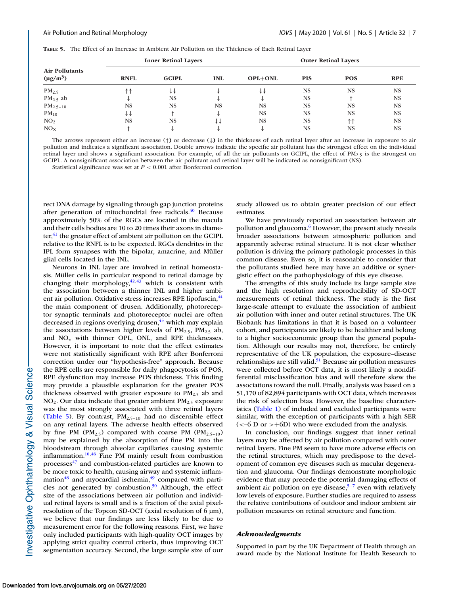<span id="page-6-0"></span>

|  |  |  |  | <b>TABLE 5.</b> The Effect of an Increase in Ambient Air Pollution on the Thickness of Each Retinal Laver |  |
|--|--|--|--|-----------------------------------------------------------------------------------------------------------|--|
|--|--|--|--|-----------------------------------------------------------------------------------------------------------|--|

|                                        |             | <b>Inner Retinal Layers</b> |            |                | <b>Outer Retinal Layers</b> |            |            |  |  |
|----------------------------------------|-------------|-----------------------------|------------|----------------|-----------------------------|------------|------------|--|--|
| <b>Air Pollutants</b><br>$(\mu g/m^3)$ | <b>RNFL</b> | <b>GCIPL</b>                | <b>INL</b> | <b>OPL+ONL</b> | <b>PIS</b>                  | <b>POS</b> | <b>RPE</b> |  |  |
| PM <sub>2.5</sub>                      |             |                             |            | ↡↡             | <b>NS</b>                   | <b>NS</b>  | <b>NS</b>  |  |  |
| $PM2.5$ ab                             |             | <b>NS</b>                   |            |                | <b>NS</b>                   |            | <b>NS</b>  |  |  |
| $PM_{2.5-10}$                          | <b>NS</b>   | <b>NS</b>                   | <b>NS</b>  | NS.            | <b>NS</b>                   | <b>NS</b>  | <b>NS</b>  |  |  |
| $PM_{10}$                              | ↡↡          |                             |            | NS.            | <b>NS</b>                   | <b>NS</b>  | <b>NS</b>  |  |  |
| NO <sub>2</sub>                        | <b>NS</b>   | <b>NS</b>                   | ∗∗         | NS.            | <b>NS</b>                   | ↑↑         | <b>NS</b>  |  |  |
| NO <sub>X</sub>                        |             |                             |            |                | <b>NS</b>                   | <b>NS</b>  | <b>NS</b>  |  |  |

The arrows represent either an increase (**↑)** or decrease (**↓)** in the thickness of each retinal layer after an increase in exposure to air pollution and indicates a significant association. Double arrows indicate the specific air pollutant has the strongest effect on the individual retinal layer and shows a significant association. For example, of all the air pollutants on GCIPL, the effect of  $PM_{2,5}$  is the strongest on GCIPL. A nonsignificant association between the air pollutant and retinal layer will be indicated as nonsignificant (NS).

Statistical significance was set at *P* < 0.001 after Bonferroni correction.

rect DNA damage by signaling through gap junction proteins after generation of mitochondrial free radicals.<sup>40</sup> Because approximately 50% of the RGCs are located in the macula and their cells bodies are 10 to 20 times their axons in diameter, $41$  the greater effect of ambient air pollution on the GCIPL relative to the RNFL is to be expected. RGCs dendrites in the IPL form synapses with the bipolar, amacrine, and Müller glial cells located in the INL.

Neurons in INL layer are involved in retinal homeostasis. Müller cells in particular respond to retinal damage by changing their morphology, $42,43$  which is consistent with the association between a thinner INL and higher ambient air pollution. Oxidative stress increases RPE lipofuscin,  $44$ the main component of drusen. Additionally, photoreceptor synaptic terminals and photoreceptor nuclei are often decreased in regions overlying drusen, $45$  which may explain the associations between higher levels of  $PM_{2.5}$ ,  $PM_{2.5}$  ab, and  $NO<sub>x</sub>$  with thinner OPL, ONL, and RPE thicknesses. However, it is important to note that the effect estimates were not statistically significant with RPE after Bonferroni correction under our "hypothesis-free" approach. Because the RPE cells are responsible for daily phagocytosis of POS, RPE dysfunction may increase POS thickness. This finding may provide a plausible explanation for the greater POS thickness observed with greater exposure to  $PM<sub>2.5</sub>$  ab and NO2. Our data indicate that greater ambient PM2.5 exposure was the most strongly associated with three retinal layers (Table 5). By contrast,  $PM_{2.5-10}$  had no discernible effect on any retinal layers. The adverse health effects observed by fine PM ( $PM_{2.5}$ ) compared with coarse PM ( $PM_{2.5-10}$ ) may be explained by the absorption of fine PM into the bloodstream through alveolar capillaries causing systemic inflammation. $10,46$  $10,46$  Fine PM mainly result from combustion processes<sup>47</sup> and combustion-related particles are known to be more toxic to health, causing airway and systemic inflammation $48$  and myocardial ischemia, $49$  compared with particles not generated by combustion.<sup>50</sup> Although, the effect size of the associations between air pollution and individual retinal layers is small and is a fraction of the axial pixelresolution of the Topcon SD-OCT (axial resolution of 6 μm), we believe that our findings are less likely to be due to measurement error for the following reasons. First, we have only included participants with high-quality OCT images by applying strict quality control criteria, thus improving OCT segmentation accuracy. Second, the large sample size of our study allowed us to obtain greater precision of our effect estimates.

We have previously reported an association between air pollution and glaucoma.<sup>6</sup> However, the present study reveals broader associations between atmospheric pollution and apparently adverse retinal structure. It is not clear whether pollution is driving the primary pathologic processes in this common disease. Even so, it is reasonable to consider that the pollutants studied here may have an additive or synergistic effect on the pathophysiology of this eye disease.

The strengths of this study include its large sample size and the high resolution and reproducibility of SD-OCT measurements of retinal thickness. The study is the first large-scale attempt to evaluate the association of ambient air pollution with inner and outer retinal structures. The UK Biobank has limitations in that it is based on a volunteer cohort, and participants are likely to be healthier and belong to a higher socioeconomic group than the general population. Although our results may not, therefore, be entirely representative of the UK population, the exposure–disease relationships are still valid.<sup>51</sup> Because air pollution measures were collected before OCT data, it is most likely a nondifferential misclassification bias and will therefore skew the associations toward the null. Finally, analysis was based on a 51,170 of 82,894 participants with OCT data, which increases the risk of selection bias. However, the baseline characteristics [\(Table 1\)](#page-3-0) of included and excluded participants were similar, with the exception of participants with a high SER  $(<-6$  D or  $>+(6D)$  who were excluded from the analysis.

In conclusion, our findings suggest that inner retinal layers may be affected by air pollution compared with outer retinal layers. Fine PM seem to have more adverse effects on the retinal structures, which may predispose to the development of common eye diseases such as macular degeneration and glaucoma. Our findings demonstrate morphologic evidence that may precede the potential damaging effects of ambient air pollution on eye disease, $5-7$  even with relatively low levels of exposure. Further studies are required to assess the relative contributions of outdoor and indoor ambient air pollution measures on retinal structure and function.

### *Acknowledgments*

Supported in part by the UK Department of Health through an award made by the National Institute for Health Research to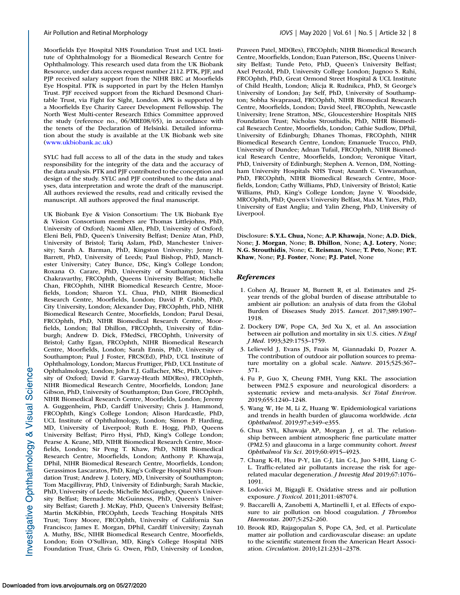<span id="page-7-0"></span>Moorfields Eye Hospital NHS Foundation Trust and UCL Institute of Ophthalmology for a Biomedical Research Centre for Ophthalmology. This research used data from the UK Biobank Resource, under data access request number 2112. PTK, PJF, and PJP received salary support from the NIHR BRC at Moorfields Eye Hospital. PTK is supported in part by the Helen Hamlyn Trust. PJF received support from the Richard Desmond Charitable Trust, via Fight for Sight, London. APK is supported by a Moorfields Eye Charity Career Development Fellowship. The North West Multi-center Research Ethics Committee approved the study (reference no., 06/MRE08/65), in accordance with the tenets of the Declaration of Helsinki. Detailed information about the study is available at the UK Biobank web site [\(www.ukbiobank.ac.uk\)](http://www.ukbiobank.ac.uk)

SYLC had full access to all of the data in the study and takes responsibility for the integrity of the data and the accuracy of the data analysis. PTK and PJF contributed to the conception and design of the study. SYLC and PJF contributed to the data analyses, data interpretation and wrote the draft of the manuscript. All authors reviewed the results, read and critically revised the manuscript. All authors approved the final manuscript.

UK Biobank Eye & Vision Consortium: The UK Biobank Eye & Vision Consortium members are Thomas Littlejohns, PhD, University of Oxford; Naomi Allen, PhD, University of Oxford; Eleni Beli, PhD, Queen's University Belfast; Denize Atan, PhD, University of Bristol; Tariq Aslam, PhD, Manchester University; Sarah A. Barman, PhD, Kingston University; Jenny H. Barrett, PhD, University of Leeds; Paul Bishop, PhD, Manchester University; Catey Bunce, DSc, King's College London; Roxana O. Carare, PhD, University of Southampton; Usha Chakravarthy, FRCOphth, Queens University Belfast; Michelle Chan, FRCOphth, NIHR Biomedical Research Centre, Moorfields, London; Sharon Y.L. Chua, PhD, NIHR Biomedical Research Centre, Moorfields, London; David P. Crabb, PhD, City University, London; Alexander Day, FRCOphth, PhD, NIHR Biomedical Research Centre, Moorfields, London; Parul Desai, FRCOphth, PhD, NIHR Biomedical Research Centre, Moorfields, London; Bal Dhillon, FRCOphth, University of Edinburgh; Andrew D. Dick, FMedSci, FRCOphth, University of Bristol; Cathy Egan, FRCOphth, NIHR Biomedical Research Centre, Moorfields, London; Sarah Ennis, PhD, University of Southampton; Paul J Foster, FRCS(Ed), PhD, UCL Institute of Ophthalmology, London; Marcus Fruttiger, PhD, UCL Institute of Ophthalmology, London; John E.J. Gallacher, MSc, PhD, University of Oxford; David F. Garway-Heath MD(Res), FRCOphth, NIHR Biomedical Research Centre, Moorfields, London; Jane Gibson, PhD, University of Southampton; Dan Gore, FRCOphth, NIHR Biomedical Research Centre, Moorfields, London; Jeremy A. Guggenheim, PhD, Cardiff University; Chris J. Hammond, FRCOphth, King's College London; Alison Hardcastle, PhD, UCL Institute of Ophthalmology, London; Simon P. Harding, MD, University of Liverpool; Ruth E. Hogg, PhD, Queens University Belfast; Pirro Hysi, PhD, King's College London; Pearse A. Keane, MD, NIHR Biomedical Research Centre, Moorfields, London; Sir Peng T. Khaw, PhD, NIHR Biomedical Research Centre, Moorfields, London; Anthony P. Khawaja, DPhil, NIHR Biomedical Research Centre, Moorfields, London; Gerassimos Lascaratos, PhD, King's College Hospital NHS Foundation Trust; Andrew J. Lotery, MD, University of Southampton; Tom Macgillivray, PhD, University of Edinburgh; Sarah Mackie, PhD, University of Leeds; Michelle McGaughey, Queen's University Belfast; Bernadette McGuinness, PhD, Queen's University Belfast; Gareth J. McKay, PhD, Queen's University Belfast; Martin McKibbin, FRCOphth, Leeds Teaching Hospitals NHS Trust; Tony Moore, FRCOphth, University of California San Francisco; James E. Morgan, DPhil, Cardiff University; Zaynah A. Muthy, BSc, NIHR Biomedical Research Centre, Moorfields, London; Eoin O'Sullivan, MD, King's College Hospital NHS Foundation Trust, Chris G. Owen, PhD, University of London,

Praveen Patel, MD(Res), FRCOphth; NIHR Biomedical Research Centre, Moorfields, London; Euan Paterson, BSc, Queens University Belfast; Tunde Peto, PhD, Queen's University Belfast; Axel Petzold, PhD, University College London; Jugnoo S. Rahi, FRCOphth, PhD, Great Ormond Street Hospital & UCL Institute of Child Health, London; Alicja R. Rudnikca, PhD, St George's University of London; Jay Self, PhD, University of Southampton; Sobha Sivaprasad, FRCOphth, NIHR Biomedical Research Centre, Moorfields, London; David Steel, FRCOphth, Newcastle University; Irene Stratton, MSc, Gloucestershire Hospitals NHS Foundation Trust; Nicholas Strouthidis, PhD, NIHR Biomedical Research Centre, Moorfields, London; Cathie Sudlow, DPhil, University of Edinburgh; Dhanes Thomas, FRCOphth, NIHR Biomedical Research Centre, London; Emanuele Trucco, PhD, University of Dundee; Adnan Tufail, FRCOphth, NIHR Biomedical Research Centre, Moorfields, London; Veronique Vitart, PhD, University of Edinburgh; Stephen A. Vernon, DM, Nottingham University Hospitals NHS Trust; Ananth C. Viswanathan, PhD, FRCOphth, NIHR Biomedical Research Centre, Moorfields, London; Cathy Williams, PhD, University of Bristol; Katie Williams, PhD, King's College London; Jayne V. Woodside, MRCOphth, PhD; Queen's University Belfast, Max M. Yates, PhD, University of East Anglia; and Yalin Zheng, PhD, University of Liverpool.

Disclosure: **S.Y.L. Chua,** None; **A.P. Khawaja**, None; **A.D. Dick**, None; **J. Morgan**, None; **B. Dhillon**, None; **A.J. Lotery**, None; **N.G. Strouthidis**, None; **C. Reisman**, None; **T. Peto**, None; **P.T. Khaw**, None; **P.J. Foster**, None; **P.J. Patel**, None

### *References*

- 1. Cohen AJ, Brauer M, Burnett R, et al. Estimates and 25 year trends of the global burden of disease attributable to ambient air pollution: an analysis of data from the Global Burden of Diseases Study 2015. *Lancet*. 2017;389:1907– 1918.
- 2. Dockery DW, Pope CA, 3rd Xu X, et al. An association between air pollution and mortality in six U.S. cities. *N Engl J Med*. 1993;329:1753–1759.
- 3. Lelieveld J, Evans JS, Fnais M, Giannadaki D, Pozzer A. The contribution of outdoor air pollution sources to premature mortality on a global scale. *Nature*. 2015;525:367– 371.
- 4. Fu P, Guo X, Cheung FMH, Yung KKL. The association between PM2.5 exposure and neurological disorders: a systematic review and meta-analysis. *Sci Total Environ*. 2019;655:1240–1248.
- 5. Wang W, He M, Li Z, Huang W. Epidemiological variations and trends in health burden of glaucoma worldwide. *Acta Ophthalmol*. 2019;97:e349–e355.
- 6. Chua SYL, Khawaja AP, Morgan J, et al. The relationship between ambient atmospheric fine particulate matter (PM2.5) and glaucoma in a large community cohort. *Invest Ophthalmol Vis Sci*. 2019;60:4915–4923.
- 7. Chang K-H, Hsu P-Y, Lin C-J, Lin C-L, Juo S-HH, Liang C-L. Traffic-related air pollutants increase the risk for agerelated macular degeneration. *J Investig Med* 2019;67:1076– 1091.
- 8. Lodovici M, Bigagli E. Oxidative stress and air pollution exposure. *J Toxicol*. 2011;2011:487074.
- 9. Baccarelli A, Zanobetti A, Martinelli I, et al. Effects of exposure to air pollution on blood coagulation. *J Thrombos Haemostas*. 2007;5:252–260.
- 10. Brook RD, Rajagopalan S, Pope CA, 3rd, et al. Particulate matter air pollution and cardiovascular disease: an update to the scientific statement from the American Heart Association. *Circulation*. 2010;121:2331–2378.

Investigative Ophthalmology & Visual Science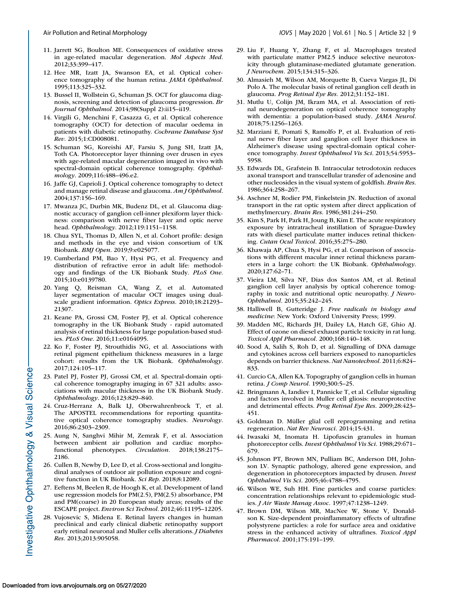- <span id="page-8-0"></span>11. Jarrett SG, Boulton ME. Consequences of oxidative stress in age-related macular degeneration. *Mol Aspects Med*. 2012;33:399–417.
- 12. Hee MR, Izatt JA, Swanson EA, et al. Optical coherence tomography of the human retina. *JAMA Ophthalmol*. 1995;113:325–332.
- 13. Bussel II, Wollstein G, Schuman JS. OCT for glaucoma diagnosis, screening and detection of glaucoma progression. *Br Journal Ophthalmol*. 2014;98(Suppl 2):ii15–ii19.
- 14. Virgili G, Menchini F, Casazza G, et al. Optical coherence tomography (OCT) for detection of macular oedema in patients with diabetic retinopathy. *Cochrane Database Syst Rev*. 2015;1:CD008081.
- 15. Schuman SG, Koreishi AF, Farsiu S, Jung SH, Izatt JA, Toth CA. Photoreceptor layer thinning over drusen in eyes with age-related macular degeneration imaged in vivo with spectral-domain optical coherence tomography. *Ophthalmology*. 2009;116:488–496.e2.
- 16. Jaffe GJ, Caprioli J. Optical coherence tomography to detect and manage retinal disease and glaucoma. *Am J Ophthalmol*. 2004;137:156–169.
- 17. Mwanza JC, Durbin MK, Budenz DL, et al. Glaucoma diagnostic accuracy of ganglion cell-inner plexiform layer thickness: comparison with nerve fiber layer and optic nerve head. *Ophthalmology*. 2012;119:1151–1158.
- 18. Chua SYL, Thomas D, Allen N, et al. Cohort profile: design and methods in the eye and vision consortium of UK Biobank. *BMJ Open*. 2019;9:e025077.
- 19. Cumberland PM, Bao Y, Hysi PG, et al. Frequency and distribution of refractive error in adult life: methodology and findings of the UK Biobank Study. *PLoS One*. 2015;10:e0139780.
- 20. Yang Q, Reisman CA, Wang Z, et al. Automated layer segmentation of macular OCT images using dualscale gradient information. *Optics Express*. 2010;18:21293– 21307.
- 21. Keane PA, Grossi CM, Foster PJ, et al. Optical coherence tomography in the UK Biobank Study - rapid automated analysis of retinal thickness for large population-based studies. *PLoS One*. 2016;11:e0164095.
- 22. Ko F, Foster PJ, Strouthidis NG, et al. Associations with retinal pigment epithelium thickness measures in a large cohort: results from the UK Biobank. *Ophthalmology*. 2017;124:105–117.
- 23. Patel PJ, Foster PJ, Grossi CM, et al. Spectral-domain optical coherence tomography imaging in 67 321 adults: associations with macular thickness in the UK Biobank Study. *Ophthalmology*. 2016;123:829–840.
- 24. Cruz-Herranz A, Balk LJ, Oberwahrenbrock T, et al. The APOSTEL recommendations for reporting quantitative optical coherence tomography studies. *Neurology*. 2016;86:2303–2309.
- 25. Aung N, Sanghvi Mihir M, Zemrak F, et al. Association between ambient air pollution and cardiac morphofunctional phenotypes. *Circulation*. 2018;138:2175– 2186.
- 26. Cullen B, Newby D, Lee D, et al. Cross-sectional and longitudinal analyses of outdoor air pollution exposure and cognitive function in UK Biobank. *Sci Rep*. 2018;8:12089.
- 27. Eeftens M, Beelen R, de Hoogh K, et al. Development of land use regression models for PM(2.5), PM(2.5) absorbance, PM and PM(coarse) in 20 European study areas; results of the ESCAPE project. *Environ Sci Technol*. 2012;46:11195–12205.
- 28. Vujosevic S, Midena E. Retinal layers changes in human preclinical and early clinical diabetic retinopathy support early retinal neuronal and Muller cells alterations. *J Diabetes Res*. 2013;2013:905058.
- 29. Liu F, Huang Y, Zhang F, et al. Macrophages treated with particulate matter PM2.5 induce selective neurotoxicity through glutaminase-mediated glutamate generation. *J Neurochem*. 2015;134:315–326.
- 30. Almasieh M, Wilson AM, Morquette B, Cueva Vargas JL, Di Polo A. The molecular basis of retinal ganglion cell death in glaucoma. *Prog Retinal Eye Res*. 2012;31:152–181.
- 31. Mutlu U, Colijn JM, Ikram MA, et al. Association of retinal neurodegeneration on optical coherence tomography with dementia: a population-based study. *JAMA Neurol*. 2018;75:1256–1263.
- 32. Marziani E, Pomati S, Ramolfo P, et al. Evaluation of retinal nerve fiber layer and ganglion cell layer thickness in Alzheimer's disease using spectral-domain optical coherence tomography. *Invest Ophthalmol Vis Sci*. 2013;54:5953– 5958.
- 33. Edwards DL, Grafstein B. Intraocular tetrodotoxin reduces axonal transport and transcellular transfer of adenosine and other nucleosides in the visual system of goldfish. *Brain Res*. 1986;364:258–267.
- 34. Aschner M, Rodier PM, Finkelstein JN. Reduction of axonal transport in the rat optic system after direct application of methylmercury. *Brain Res*. 1986;381:244–250.
- 35. Kim S, Park H, Park H, Joung B, Kim E. The acute respiratory exposure by intratracheal instillation of Sprague-Dawley rats with diesel particulate matter induces retinal thickening. *Cutan Ocul Toxicol*. 2016;35:275–280.
- 36. Khawaja AP, Chua S, Hysi PG, et al. Comparison of associations with different macular inner retinal thickness parameters in a large cohort: the UK Biobank. *Ophthalmology*. 2020;127:62–71.
- 37. Vieira LM, Silva NF, Dias dos Santos AM, et al. Retinal ganglion cell layer analysis by optical coherence tomography in toxic and nutritional optic neuropathy. *J Neuro-Ophthalmol*. 2015;35:242–245.
- 38. Halliwell B, Gutteridge J. *Free radicals in biology and medicine*: New York: Oxford University Press; 1999.
- 39. Madden MC, Richards JH, Dailey LA, Hatch GE, Ghio AJ. Effect of ozone on diesel exhaust particle toxicity in rat lung. *Toxicol Appl Pharmacol*. 2000;168:140–148.
- 40. Sood A, Salih S, Roh D, et al. Signalling of DNA damage and cytokines across cell barriers exposed to nanoparticles depends on barrier thickness. *Nat Nanotechnol*. 2011;6:824– 833.
- 41. Curcio CA, Allen KA. Topography of ganglion cells in human retina. *J Comp Neurol*. 1990;300:5–25.
- 42. Bringmann A, Iandiev I, Pannicke T, et al. Cellular signaling and factors involved in Muller cell gliosis: neuroprotective and detrimental effects. *Prog Retinal Eye Res*. 2009;28:423– 451.
- 43. Goldman D. Müller glial cell reprogramming and retina regeneration. *Nat Rev Neurosci*. 2014;15:431.
- 44. Iwasaki M, Inomata H. Lipofuscin granules in human photoreceptor cells. *Invest Ophthalmol Vis Sci*. 1988;29:671– 679.
- 45. Johnson PT, Brown MN, Pulliam BC, Anderson DH, Johnson LV. Synaptic pathology, altered gene expression, and degeneration in photoreceptors impacted by drusen. *Invest Ophthalmol Vis Sci*. 2005;46:4788–4795.
- 46. Wilson WE, Suh HH. Fine particles and coarse particles: concentration relationships relevant to epidemiologic studies. *J Air Waste Manag Assoc*. 1997;47:1238–1249.
- 47. Brown DM, Wilson MR, MacNee W, Stone V, Donaldson K. Size-dependent proinflammatory effects of ultrafine polystyrene particles: a role for surface area and oxidative stress in the enhanced activity of ultrafines. *Toxicol Appl Pharmacol*. 2001;175:191–199.